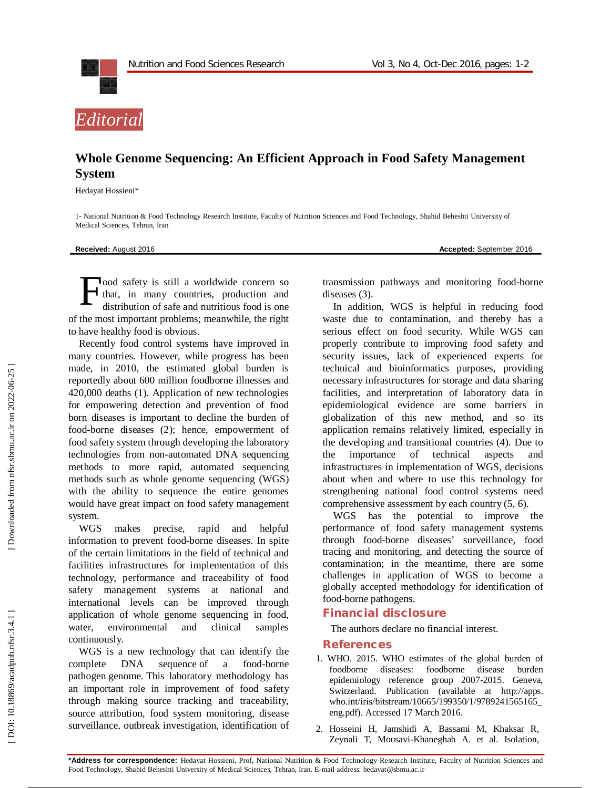



## **Whole Genome Sequencing: An Efficient Approach in Food Safety Management System**

Hedayat Hossieni \*

1 - National Nutrition & Food Technology Research Institute, Faculty of Nutrition Sciences and Food Technology, Shahid Beheshti University of Medical Sciences, Tehran, Iran

**Received:** August 201

6 **Accepted:** September 201 6

ood safety is still a worldwide concern so that, in many countries, production and distribution of safe and nutritious food is one of the most important problems; meanwhile, the right to have healthy food is obvious. F

Recently food control systems have improved in many countries. However, while progress has been made, in 2010, the estimated global burden is reportedly about 600 million foodborne illnesses and 420,000 deaths (1). Application of new technologies for empowering detection and prevention of food born diseases is important to decline the burden of food -borne diseases (2); hence, empowerment of food safety system through developing the laboratory technologies from non -automated DNA sequencing methods to more rapid, automated sequencing methods such as whole genome sequencing (WGS) with the ability to sequence the entire genomes would have great impact on food safety management system.

WGS makes precise, rapid and helpful information to prevent food -borne diseases. In spite of the certain limitations in the field of technical and facilities infrastructures for implementation of this technology, performance and traceability of food safety management systems at national and international levels can be improved through application of whole genome sequencing in food, water, environmental and clinical samples continuously.

WGS is a new technology that can identify the complete DNA sequence of a food-borne pathogen genome. This laboratory methodology has an important role in improvement of food safety through making source tracking and traceability, source attribution, food system monitoring, disease surveillance, outbreak investigation, identification of transmission pathways and monitoring food -borne diseases (3).

In addition, WGS is helpful in reducing food waste due to contamination, and thereby has a serious effect on food security. While WGS can properly contribute to improving food safety and security issues, lack of experienced experts for technical and bioinformatics purposes, providing necessary infrastructures for storage and data sharing facilities, and interpretation of laboratory data in epidemiological evidence are some barriers in globalization of this new method, and so its application remains relatively limited, especially in the developing and transitional countries (4). Due to the importance of technical aspects and infrastructures in implementation of WGS, decisions about when and where to use this technology for strengthening national food control systems need comprehensive assessment by each country (5, 6).

WGS has the potential to improve the performance of food safety management systems through food -borne diseases' surveillance, food tracing and monitoring, and detecting the source of contamination; in the meantime, there are some challenges in application of WGS to become a globally accepted methodology for identification of food -borne pathogens.

## **Financial disclosure**

The author s declare no financial interest.

## **References**

- 1. WHO. 2015. WHO estimates of the global burden of foodborne diseases: foodborne disease burden epidemiology reference group 2007 -2015. Geneva, Switzerland. Publication (available at http://apps. who.int/iris/bitstream/10665/199350/1/9789241565165\_ eng.pdf). Accessed 17 March 2016.
- 2. Hosseini H, Jamshidi A, Bassami M, Khaksar R, Zeynali T, Mousavi -Khaneghah A. et al. Isolation,

**\*Address for correspondence:** Hedayat Hossieni , Prof, National Nutrition & Food Technology Research Institute, Faculty of Nutrition Sciences and Food Technology, Shahid Beheshti University of Medical Sciences, Tehran, Iran . E -mail address: hedayat@sbmu.ac.ir